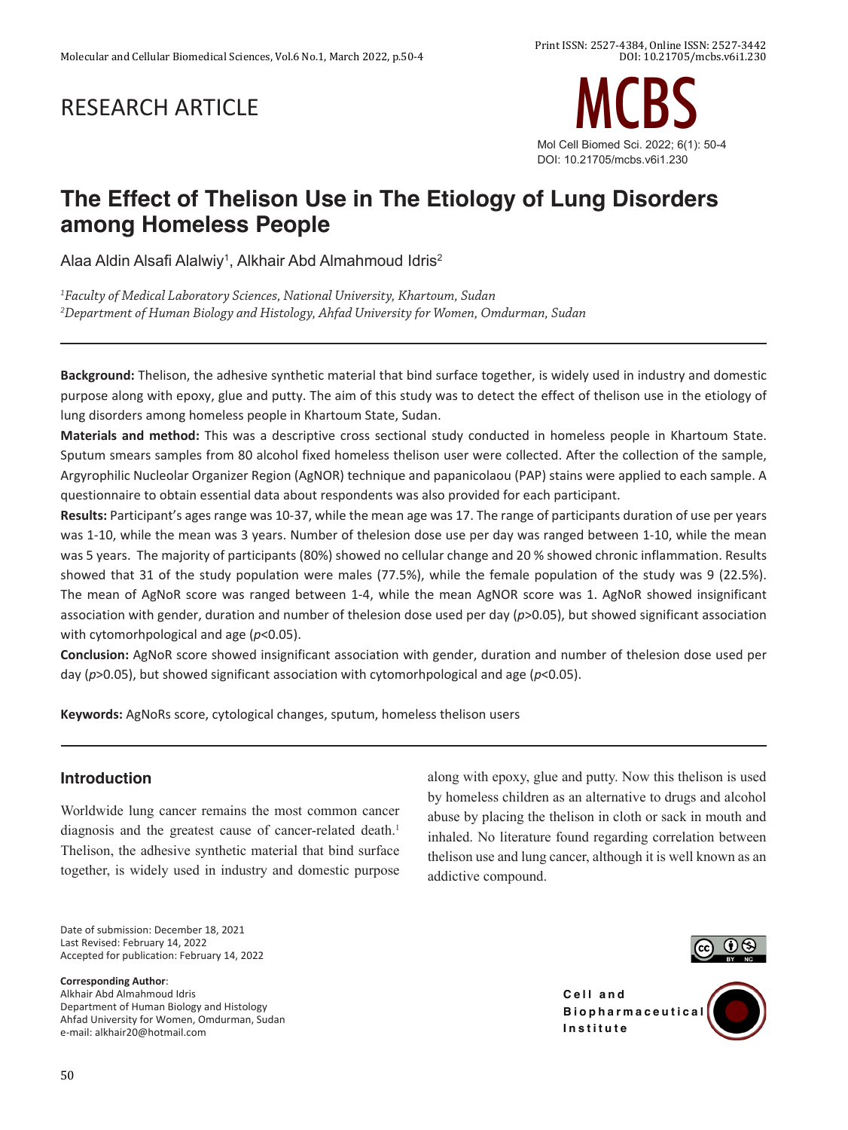# RESEARCH ARTICLE



# **The Effect of Thelison Use in The Etiology of Lung Disorders among Homeless People**

Alaa Aldin Alsafi Alalwiy $^{\rm 1}$ , Alkhair Abd Almahmoud Idris $^{\rm 2}$ 

*1 Faculty of Medical Laboratory Sciences, National University, Khartoum, Sudan 2 Department of Human Biology and Histology, Ahfad University for Women, Omdurman, Sudan*

**Background:** Thelison, the adhesive synthetic material that bind surface together, is widely used in industry and domestic purpose along with epoxy, glue and putty. The aim of this study was to detect the effect of thelison use in the etiology of lung disorders among homeless people in Khartoum State, Sudan.

**Materials and method:** This was a descriptive cross sectional study conducted in homeless people in Khartoum State. Sputum smears samples from 80 alcohol fixed homeless thelison user were collected. After the collection of the sample, Argyrophilic Nucleolar Organizer Region (AgNOR) technique and papanicolaou (PAP) stains were applied to each sample. A questionnaire to obtain essential data about respondents was also provided for each participant.

**Results:** Participant's ages range was 10-37, while the mean age was 17. The range of participants duration of use per years was 1-10, while the mean was 3 years. Number of thelesion dose use per day was ranged between 1-10, while the mean was 5 years. The majority of participants (80%) showed no cellular change and 20 % showed chronic inflammation. Results showed that 31 of the study population were males (77.5%), while the female population of the study was 9 (22.5%). The mean of AgNoR score was ranged between 1-4, while the mean AgNOR score was 1. AgNoR showed insignificant association with gender, duration and number of thelesion dose used per day (*p*>0.05), but showed significant association with cytomorhpological and age (*p*<0.05).

**Conclusion:** AgNoR score showed insignificant association with gender, duration and number of thelesion dose used per day (*p*>0.05), but showed significant association with cytomorhpological and age (*p*<0.05).

**Keywords:** AgNoRs score, cytological changes, sputum, homeless thelison users

# **Introduction**

Worldwide lung cancer remains the most common cancer diagnosis and the greatest cause of cancer-related death.<sup>1</sup> Thelison, the adhesive synthetic material that bind surface together, is widely used in industry and domestic purpose

Date of submission: December 18, 2021 Last Revised: February 14, 2022 Accepted for publication: February 14, 2022

**Corresponding Author**:

Alkhair Abd Almahmoud Idris Department of Human Biology and Histology Ahfad University for Women, Omdurman, Sudan e-mail: alkhair20@hotmail.com

abuse by placing the thelison in cloth or sack in mouth and inhaled. No literature found regarding correlation between thelison use and lung cancer, although it is well known as an addictive compound.

along with epoxy, glue and putty. Now this thelison is used by homeless children as an alternative to drugs and alcohol



**Cell** and **B i o p h a r m a c e u t i c a l Institute**

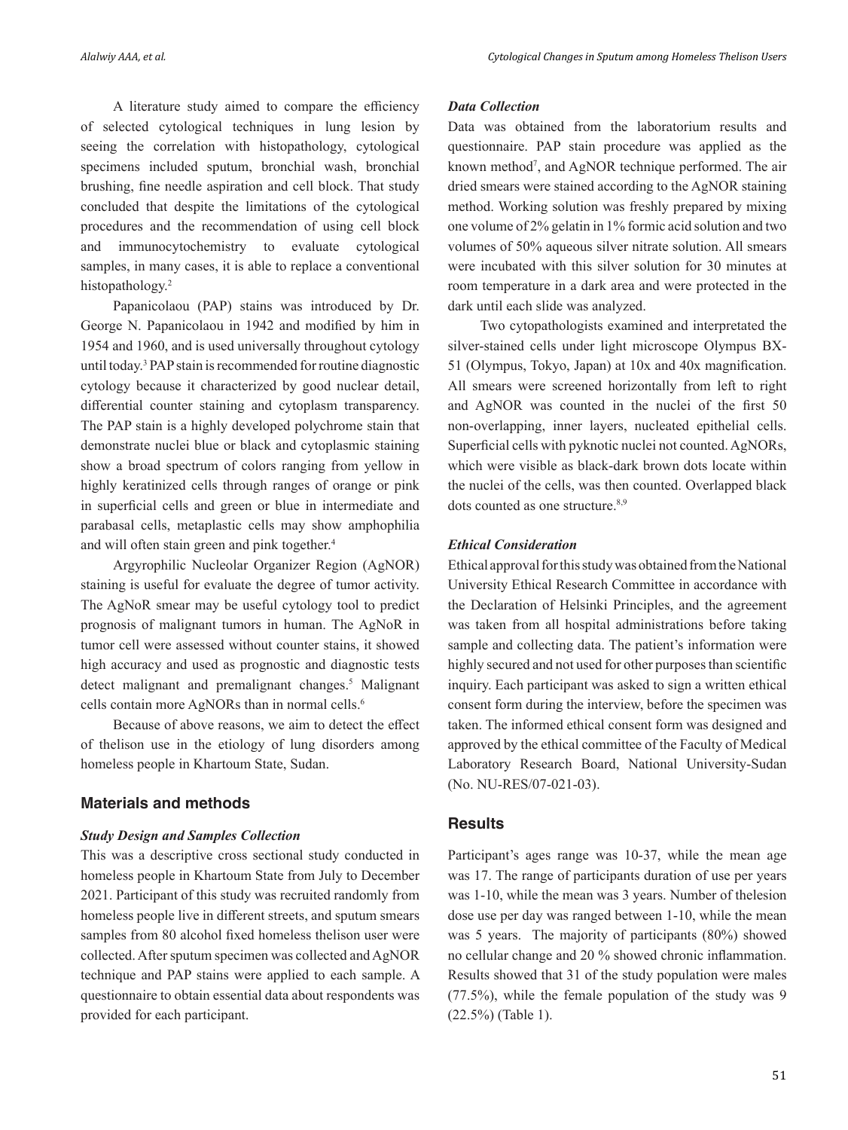A literature study aimed to compare the efficiency of selected cytological techniques in lung lesion by seeing the correlation with histopathology, cytological specimens included sputum, bronchial wash, bronchial brushing, fine needle aspiration and cell block. That study concluded that despite the limitations of the cytological procedures and the recommendation of using cell block and immunocytochemistry to evaluate cytological samples, in many cases, it is able to replace a conventional histopathology.<sup>2</sup>

Papanicolaou (PAP) stains was introduced by Dr. George N. Papanicolaou in 1942 and modified by him in 1954 and 1960, and is used universally throughout cytology until today.3 PAP stain is recommended for routine diagnostic cytology because it characterized by good nuclear detail, differential counter staining and cytoplasm transparency. The PAP stain is a highly developed polychrome stain that demonstrate nuclei blue or black and cytoplasmic staining show a broad spectrum of colors ranging from yellow in highly keratinized cells through ranges of orange or pink in superficial cells and green or blue in intermediate and parabasal cells, metaplastic cells may show amphophilia and will often stain green and pink together.<sup>4</sup>

Argyrophilic Nucleolar Organizer Region (AgNOR) staining is useful for evaluate the degree of tumor activity. The AgNoR smear may be useful cytology tool to predict prognosis of malignant tumors in human. The AgNoR in tumor cell were assessed without counter stains, it showed high accuracy and used as prognostic and diagnostic tests detect malignant and premalignant changes.<sup>5</sup> Malignant cells contain more AgNORs than in normal cells.6

 Because of above reasons, we aim to detect the effect of thelison use in the etiology of lung disorders among homeless people in Khartoum State, Sudan.

### **Materials and methods**

#### *Study Design and Samples Collection*

This was a descriptive cross sectional study conducted in homeless people in Khartoum State from July to December 2021. Participant of this study was recruited randomly from homeless people live in different streets, and sputum smears samples from 80 alcohol fixed homeless thelison user were collected. After sputum specimen was collected and AgNOR technique and PAP stains were applied to each sample. A questionnaire to obtain essential data about respondents was provided for each participant.

#### *Data Collection*

Data was obtained from the laboratorium results and questionnaire. PAP stain procedure was applied as the known method<sup>7</sup>, and AgNOR technique performed. The air dried smears were stained according to the AgNOR staining method. Working solution was freshly prepared by mixing one volume of 2% gelatin in 1% formic acid solution and two volumes of 50% aqueous silver nitrate solution. All smears were incubated with this silver solution for 30 minutes at room temperature in a dark area and were protected in the dark until each slide was analyzed.

Two cytopathologists examined and interpretated the silver-stained cells under light microscope Olympus BX-51 (Olympus, Tokyo, Japan) at 10x and 40x magnification. All smears were screened horizontally from left to right and AgNOR was counted in the nuclei of the first 50 non-overlapping, inner layers, nucleated epithelial cells. Superficial cells with pyknotic nuclei not counted.AgNORs, which were visible as black-dark brown dots locate within the nuclei of the cells, was then counted. Overlapped black dots counted as one structure.<sup>8,9</sup>

### *Ethical Consideration*

Ethical approval for this study was obtained from the National University Ethical Research Committee in accordance with the Declaration of Helsinki Principles, and the agreement was taken from all hospital administrations before taking sample and collecting data. The patient's information were highly secured and not used for other purposes than scientific inquiry. Each participant was asked to sign a written ethical consent form during the interview, before the specimen was taken. The informed ethical consent form was designed and approved by the ethical committee of the Faculty of Medical Laboratory Research Board, National University-Sudan (No. NU-RES/07-021-03).

### **Results**

Participant's ages range was 10-37, while the mean age was 17. The range of participants duration of use per years was 1-10, while the mean was 3 years. Number of thelesion dose use per day was ranged between 1-10, while the mean was 5 years. The majority of participants (80%) showed no cellular change and 20 % showed chronic inflammation. Results showed that 31 of the study population were males (77.5%), while the female population of the study was 9 (22.5%) (Table 1).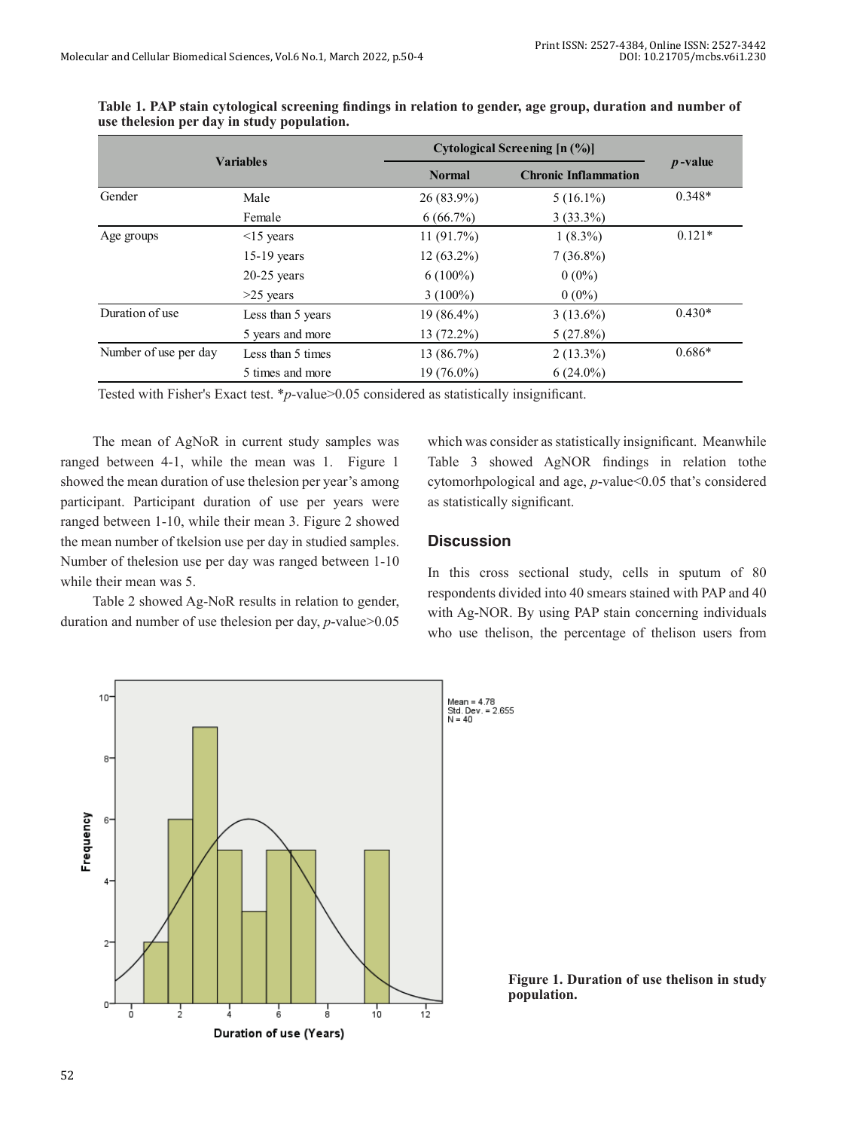|                       |                   | Cytological Screening [n (%)] | $p$ -value  |                             |
|-----------------------|-------------------|-------------------------------|-------------|-----------------------------|
| <b>Variables</b>      |                   | <b>Normal</b>                 |             | <b>Chronic Inflammation</b> |
| Gender                | Male              | 26 (83.9%)                    | $5(16.1\%)$ | $0.348*$                    |
|                       | Female            | $6(66.7\%)$                   | $3(33.3\%)$ |                             |
| Age groups            | $\leq$ 15 years   | 11(91.7%)                     | $1(8.3\%)$  | $0.121*$                    |
|                       | $15-19$ years     | $12(63.2\%)$                  | $7(36.8\%)$ |                             |
|                       | $20-25$ years     | $6(100\%)$                    | $0(0\%)$    |                             |
|                       | $>25$ years       | $3(100\%)$                    | $0(0\%)$    |                             |
| Duration of use       | Less than 5 years | 19 (86.4%)                    | $3(13.6\%)$ | $0.430*$                    |
|                       | 5 years and more  | 13 (72.2%)                    | 5(27.8%)    |                             |
| Number of use per day | Less than 5 times | 13 (86.7%)                    | $2(13.3\%)$ | $0.686*$                    |
|                       | 5 times and more  | 19 (76.0%)                    | $6(24.0\%)$ |                             |

| Table 1. PAP stain cytological screening findings in relation to gender, age group, duration and number of |  |  |
|------------------------------------------------------------------------------------------------------------|--|--|
| use the lession per day in study population.                                                               |  |  |

Tested with Fisher's Exact test. \**p*-value>0.05 considered as statistically insignificant.

The mean of AgNoR in current study samples was ranged between 4-1, while the mean was 1. Figure 1 showed the mean duration of use thelesion per year's among participant. Participant duration of use per years were ranged between 1-10, while their mean 3. Figure 2 showed the mean number of tkelsion use per day in studied samples. Number of thelesion use per day was ranged between 1-10 while their mean was 5.

Table 2 showed Ag-NoR results in relation to gender, duration and number of use thelesion per day, *p*-value>0.05

which was consider as statistically insignificant. Meanwhile Table 3 showed AgNOR findings in relation tothe cytomorhpological and age, *p*-value<0.05 that's considered as statistically significant.

#### **Discussion**

In this cross sectional study, cells in sputum of 80 respondents divided into 40 smears stained with PAP and 40 with Ag-NOR. By using PAP stain concerning individuals who use thelison, the percentage of thelison users from



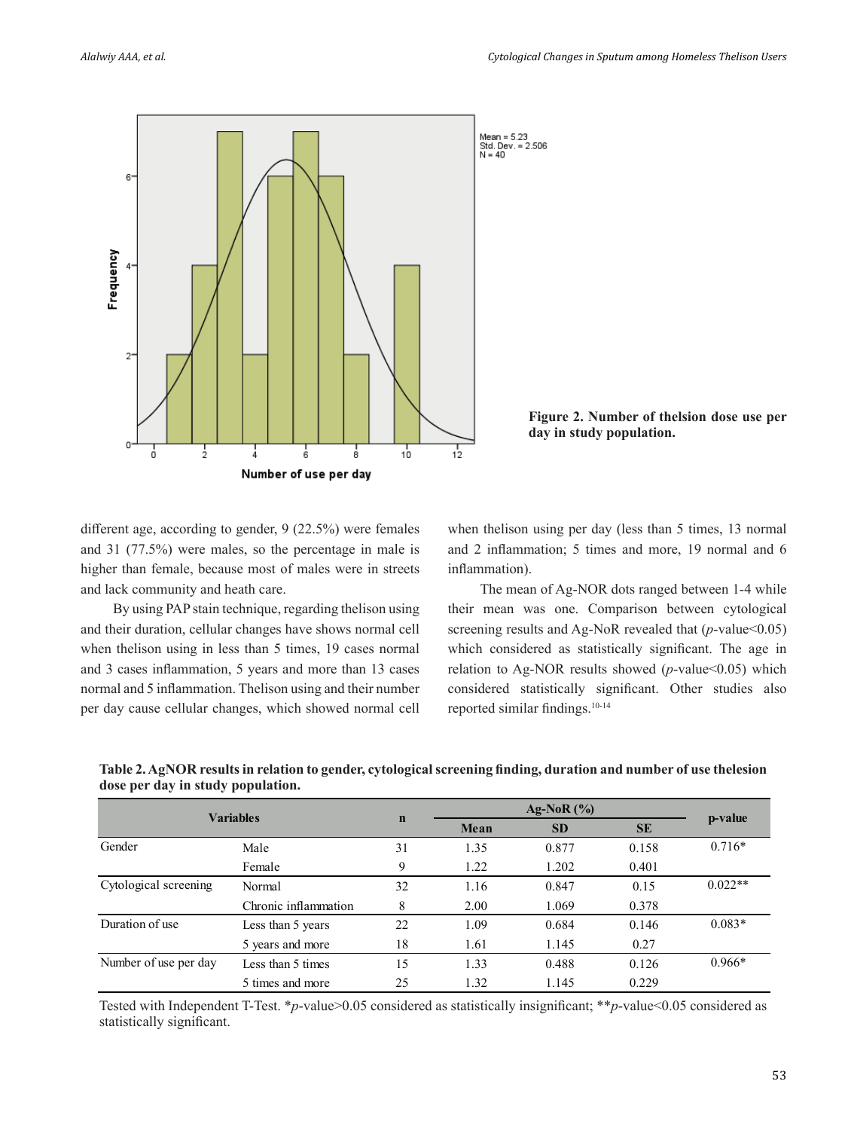



**Figure 2. Number of thelsion dose use per day in study population.**

different age, according to gender, 9 (22.5%) were females and 31 (77.5%) were males, so the percentage in male is higher than female, because most of males were in streets and lack community and heath care.

By using PAP stain technique, regarding thelison using and their duration, cellular changes have shows normal cell when thelison using in less than 5 times, 19 cases normal and 3 cases inflammation, 5 years and more than 13 cases normal and 5 inflammation. Thelison using and their number per day cause cellular changes, which showed normal cell when thelison using per day (less than 5 times, 13 normal and 2 inflammation; 5 times and more, 19 normal and 6 inflammation).

The mean of Ag-NOR dots ranged between 1-4 while their mean was one. Comparison between cytological screening results and Ag-NoR revealed that (*p*-value < 0.05) which considered as statistically significant. The age in relation to Ag-NOR results showed (*p*-value<0.05) which considered statistically significant. Other studies also reported similar findings.10-14

| <b>Variables</b>      |                      | $\mathbf n$ | Ag-NoR $(\%$ |           |           |           |
|-----------------------|----------------------|-------------|--------------|-----------|-----------|-----------|
|                       |                      |             | Mean         | <b>SD</b> | <b>SE</b> | p-value   |
| Gender                | Male                 | 31          | 1.35         | 0.877     | 0.158     | $0.716*$  |
|                       | Female               | 9           | 1.22         | 1.202     | 0.401     |           |
| Cytological screening | Normal               | 32          | 1.16         | 0.847     | 0.15      | $0.022**$ |
|                       | Chronic inflammation | 8           | 2.00         | 1.069     | 0.378     |           |
| Duration of use       | Less than 5 years    | 22          | 1.09         | 0.684     | 0.146     | $0.083*$  |
|                       | 5 years and more     | 18          | 1.61         | 1.145     | 0.27      |           |
| Number of use per day | Less than 5 times    | 15          | 1.33         | 0.488     | 0.126     | $0.966*$  |
|                       | 5 times and more     | 25          | 1.32         | 1.145     | 0.229     |           |

**Table 2. AgNOR results in relation to gender, cytological screening finding, duration and number of use thelesion dose per day in study population.**

Tested with Independent T-Test. \**p*-value>0.05 considered as statistically insignificant; \*\**p*-value<0.05 considered as statistically significant.